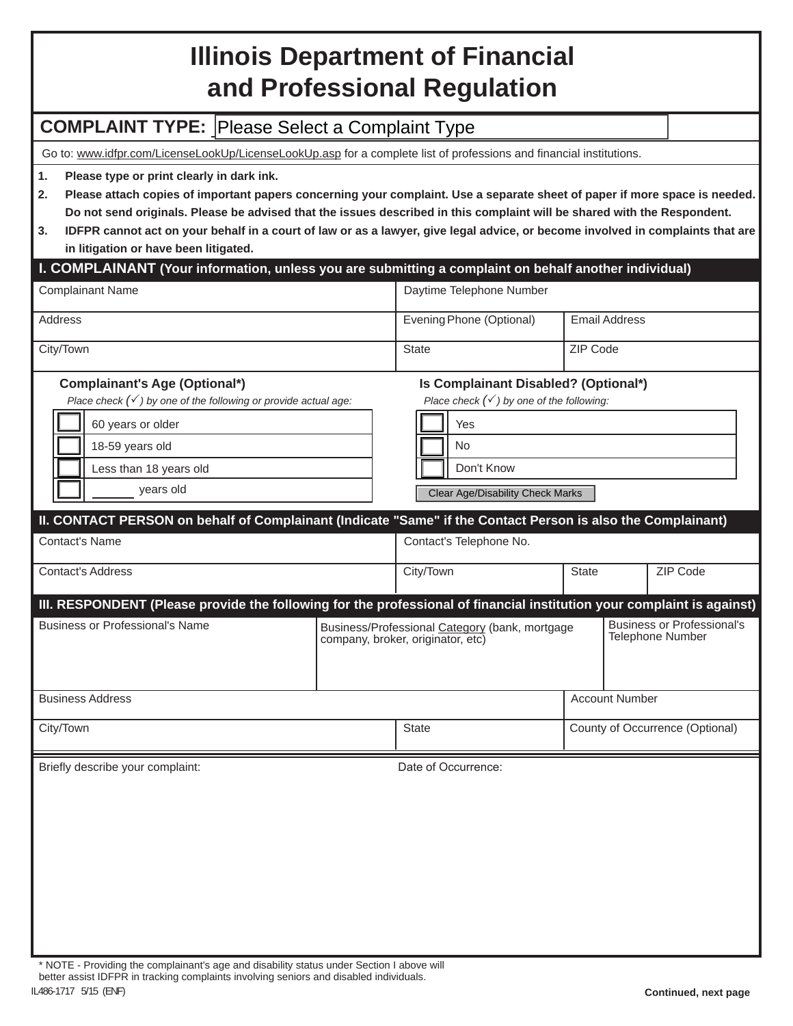## **Illinois Department of Financial and Professional Regulation**

## **COMPLAINT TYPE:** Please Select a Complaint Type

Go to: www.idfpr.com/LicenseLookUp/LicenseLookUp.asp for a complete list of professions and financial institutions.

**1. Please type or print clearly in dark ink.**

- **2. Please attach copies of important papers concerning your complaint. Use a separate sheet of paper if more space is needed. Do not send originals. Please be advised that the issues described in this complaint will be shared with the Respondent.**
- **3. IDFPR cannot act on your behalf in a court of law or as a lawyer, give legal advice, or become involved in complaints that are in litigation or have been litigated.**

## **I. COMPLAINANT (Your information, unless you are submitting a complaint on behalf another individual)**

| <b>Complainant Name</b>                                                                                                                                                                                                                                                                                         | Daytime Telephone Number |                                                                                                                                                                          |                                                              |                       |                                 |
|-----------------------------------------------------------------------------------------------------------------------------------------------------------------------------------------------------------------------------------------------------------------------------------------------------------------|--------------------------|--------------------------------------------------------------------------------------------------------------------------------------------------------------------------|--------------------------------------------------------------|-----------------------|---------------------------------|
| Address                                                                                                                                                                                                                                                                                                         |                          | Evening Phone (Optional)                                                                                                                                                 | <b>Email Address</b>                                         |                       |                                 |
| City/Town                                                                                                                                                                                                                                                                                                       |                          | <b>State</b>                                                                                                                                                             | ZIP Code                                                     |                       |                                 |
| <b>Complainant's Age (Optional*)</b><br>Place check $(\checkmark)$ by one of the following or provide actual age:<br>60 years or older<br>18-59 years old<br>Less than 18 years old<br>years old<br>II. CONTACT PERSON on behalf of Complainant (Indicate "Same" if the Contact Person is also the Complainant) |                          | Is Complainant Disabled? (Optional*)<br>Place check $(\checkmark)$ by one of the following:<br>Yes<br><b>No</b><br>Don't Know<br><b>Clear Age/Disability Check Marks</b> |                                                              |                       |                                 |
| <b>Contact's Name</b>                                                                                                                                                                                                                                                                                           |                          | Contact's Telephone No.                                                                                                                                                  |                                                              |                       |                                 |
| <b>Contact's Address</b>                                                                                                                                                                                                                                                                                        |                          | City/Town                                                                                                                                                                | <b>State</b>                                                 |                       | ZIP Code                        |
| III. RESPONDENT (Please provide the following for the professional of financial institution your complaint is against)                                                                                                                                                                                          |                          |                                                                                                                                                                          |                                                              |                       |                                 |
| <b>Business or Professional's Name</b>                                                                                                                                                                                                                                                                          |                          | Business/Professional Category (bank, mortgage<br>company, broker, originator, etc)                                                                                      | <b>Business or Professional's</b><br><b>Telephone Number</b> |                       |                                 |
| <b>Business Address</b>                                                                                                                                                                                                                                                                                         |                          |                                                                                                                                                                          |                                                              | <b>Account Number</b> |                                 |
| City/Town                                                                                                                                                                                                                                                                                                       |                          | <b>State</b>                                                                                                                                                             |                                                              |                       | County of Occurrence (Optional) |
| Briefly describe your complaint:                                                                                                                                                                                                                                                                                |                          | Date of Occurrence:                                                                                                                                                      |                                                              |                       |                                 |

IL486-1717 5/15 (ENF) \* NOTE - Providing the complainant's age and disability status under Section I above will better assist IDFPR in tracking complaints involving seniors and disabled individuals.